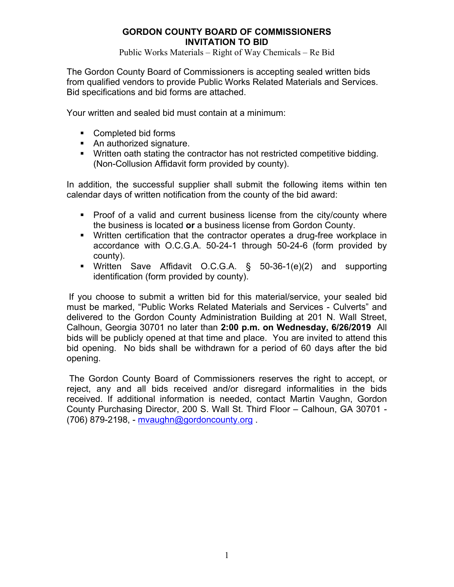Public Works Materials – Right of Way Chemicals – Re Bid

The Gordon County Board of Commissioners is accepting sealed written bids from qualified vendors to provide Public Works Related Materials and Services. Bid specifications and bid forms are attached.

Your written and sealed bid must contain at a minimum:

- Completed bid forms
- An authorized signature.
- Written oath stating the contractor has not restricted competitive bidding. (Non-Collusion Affidavit form provided by county).

In addition, the successful supplier shall submit the following items within ten calendar days of written notification from the county of the bid award:

- Proof of a valid and current business license from the city/county where the business is located **or** a business license from Gordon County.
- Written certification that the contractor operates a drug-free workplace in accordance with O.C.G.A. 50-24-1 through 50-24-6 (form provided by county).
- Written Save Affidavit O.C.G.A. § 50-36-1(e)(2) and supporting identification (form provided by county).

If you choose to submit a written bid for this material/service, your sealed bid must be marked, "Public Works Related Materials and Services - Culverts" and delivered to the Gordon County Administration Building at 201 N. Wall Street, Calhoun, Georgia 30701 no later than **2:00 p.m. on Wednesday, 6/26/2019** All bids will be publicly opened at that time and place. You are invited to attend this bid opening. No bids shall be withdrawn for a period of 60 days after the bid opening.

 The Gordon County Board of Commissioners reserves the right to accept, or reject, any and all bids received and/or disregard informalities in the bids received. If additional information is needed, contact Martin Vaughn, Gordon County Purchasing Director, 200 S. Wall St. Third Floor – Calhoun, GA 30701 - (706) 879-2198, - mvaughn@gordoncounty.org .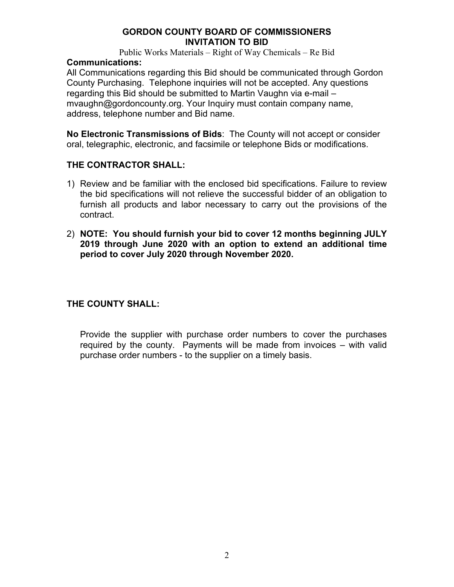Public Works Materials – Right of Way Chemicals – Re Bid

## **Communications:**

All Communications regarding this Bid should be communicated through Gordon County Purchasing. Telephone inquiries will not be accepted. Any questions regarding this Bid should be submitted to Martin Vaughn via e-mail – mvaughn@gordoncounty.org. Your Inquiry must contain company name, address, telephone number and Bid name.

**No Electronic Transmissions of Bids**: The County will not accept or consider oral, telegraphic, electronic, and facsimile or telephone Bids or modifications.

## **THE CONTRACTOR SHALL:**

- 1) Review and be familiar with the enclosed bid specifications. Failure to review the bid specifications will not relieve the successful bidder of an obligation to furnish all products and labor necessary to carry out the provisions of the contract.
- 2) **NOTE: You should furnish your bid to cover 12 months beginning JULY 2019 through June 2020 with an option to extend an additional time period to cover July 2020 through November 2020.**

## **THE COUNTY SHALL:**

Provide the supplier with purchase order numbers to cover the purchases required by the county. Payments will be made from invoices – with valid purchase order numbers - to the supplier on a timely basis.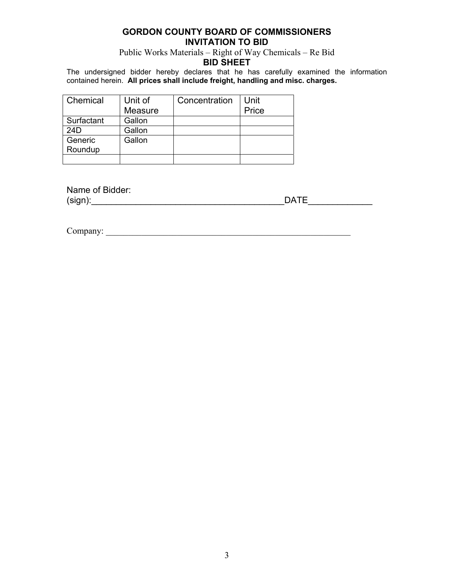Public Works Materials – Right of Way Chemicals – Re Bid

### **BID SHEET**

The undersigned bidder hereby declares that he has carefully examined the information contained herein. **All prices shall include freight, handling and misc. charges.**

| Chemical   | Unit of | Concentration | Unit  |
|------------|---------|---------------|-------|
|            | Measure |               | Price |
| Surfactant | Gallon  |               |       |
| 24D        | Gallon  |               |       |
| Generic    | Gallon  |               |       |
| Roundup    |         |               |       |
|            |         |               |       |

Name of Bidder: (sign):\_\_\_\_\_\_\_\_\_\_\_\_\_\_\_\_\_\_\_\_\_\_\_\_\_\_\_\_\_\_\_\_\_\_\_\_\_\_\_DATE\_\_\_\_\_\_\_\_\_\_\_\_\_

Company: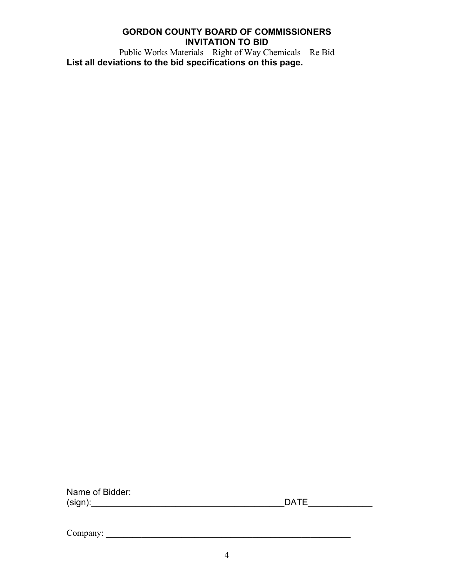Public Works Materials – Right of Way Chemicals – Re Bid **List all deviations to the bid specifications on this page.** 

Name of Bidder: (sign):\_\_\_\_\_\_\_\_\_\_\_\_\_\_\_\_\_\_\_\_\_\_\_\_\_\_\_\_\_\_\_\_\_\_\_\_\_\_\_DATE\_\_\_\_\_\_\_\_\_\_\_\_\_

Company: \_\_\_\_\_\_\_\_\_\_\_\_\_\_\_\_\_\_\_\_\_\_\_\_\_\_\_\_\_\_\_\_\_\_\_\_\_\_\_\_\_\_\_\_\_\_\_\_\_\_\_\_\_\_\_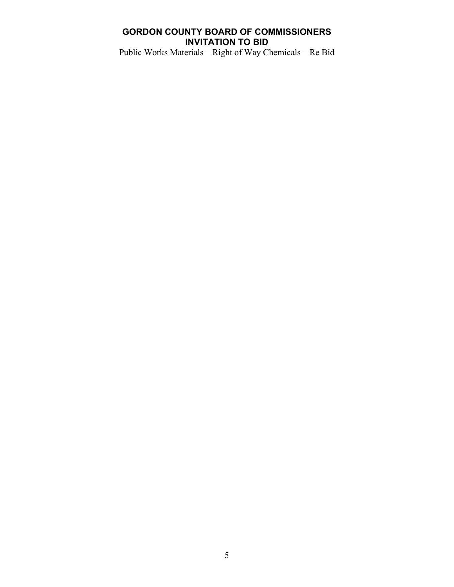Public Works Materials – Right of Way Chemicals – Re Bid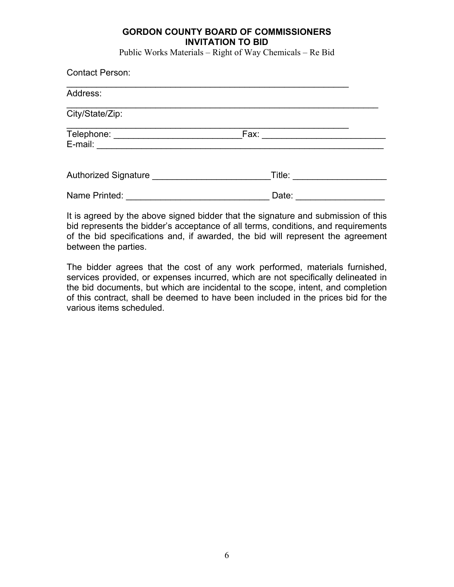Public Works Materials – Right of Way Chemicals – Re Bid

| <b>Contact Person:</b> |        |  |
|------------------------|--------|--|
| Address:               |        |  |
| City/State/Zip:        |        |  |
| E-mail:                | Fax:   |  |
| Authorized Signature   | Title: |  |
| Name Printed:          | Date:  |  |

It is agreed by the above signed bidder that the signature and submission of this bid represents the bidder's acceptance of all terms, conditions, and requirements of the bid specifications and, if awarded, the bid will represent the agreement between the parties.

The bidder agrees that the cost of any work performed, materials furnished, services provided, or expenses incurred, which are not specifically delineated in the bid documents, but which are incidental to the scope, intent, and completion of this contract, shall be deemed to have been included in the prices bid for the various items scheduled.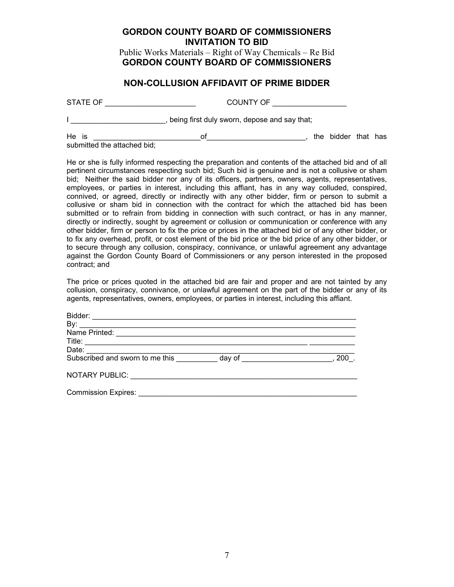Public Works Materials – Right of Way Chemicals – Re Bid **GORDON COUNTY BOARD OF COMMISSIONERS** 

#### **NON-COLLUSION AFFIDAVIT OF PRIME BIDDER**

STATE OF GOUNTY OF GOUNTY OF THE STATE OF THE STATE OF THE STATE OF THE STATE OF THE STATE OF THE STATE OF THE STATE OF THE STATE OF THE STATE OF THE STATE OF THE STATE OF THE STATE OF THE STATE OF THE STATE OF THE STATE O

I \_\_\_\_\_\_\_\_\_\_\_\_\_\_\_\_\_\_\_\_\_\_\_, being first duly sworn, depose and say that;

He is the second term of the second of the second of the bidder that has the second of the bidder that has the  $\frac{1}{2}$ submitted the attached bid:

He or she is fully informed respecting the preparation and contents of the attached bid and of all pertinent circumstances respecting such bid; Such bid is genuine and is not a collusive or sham bid; Neither the said bidder nor any of its officers, partners, owners, agents, representatives, employees, or parties in interest, including this affiant, has in any way colluded, conspired, connived, or agreed, directly or indirectly with any other bidder, firm or person to submit a collusive or sham bid in connection with the contract for which the attached bid has been submitted or to refrain from bidding in connection with such contract, or has in any manner, directly or indirectly, sought by agreement or collusion or communication or conference with any other bidder, firm or person to fix the price or prices in the attached bid or of any other bidder, or to fix any overhead, profit, or cost element of the bid price or the bid price of any other bidder, or to secure through any collusion, conspiracy, connivance, or unlawful agreement any advantage against the Gordon County Board of Commissioners or any person interested in the proposed contract; and

The price or prices quoted in the attached bid are fair and proper and are not tainted by any collusion, conspiracy, connivance, or unlawful agreement on the part of the bidder or any of its agents, representatives, owners, employees, or parties in interest, including this affiant.

| By:                             |                                                                                                                |     |
|---------------------------------|----------------------------------------------------------------------------------------------------------------|-----|
| Name Printed:                   |                                                                                                                |     |
|                                 |                                                                                                                |     |
|                                 |                                                                                                                |     |
| Subscribed and sworn to me this | day of the control of the control of the control of the control of the control of the control of the control o | 200 |
|                                 |                                                                                                                |     |
|                                 |                                                                                                                |     |
|                                 |                                                                                                                |     |
| <b>Commission Expires:</b>      |                                                                                                                |     |